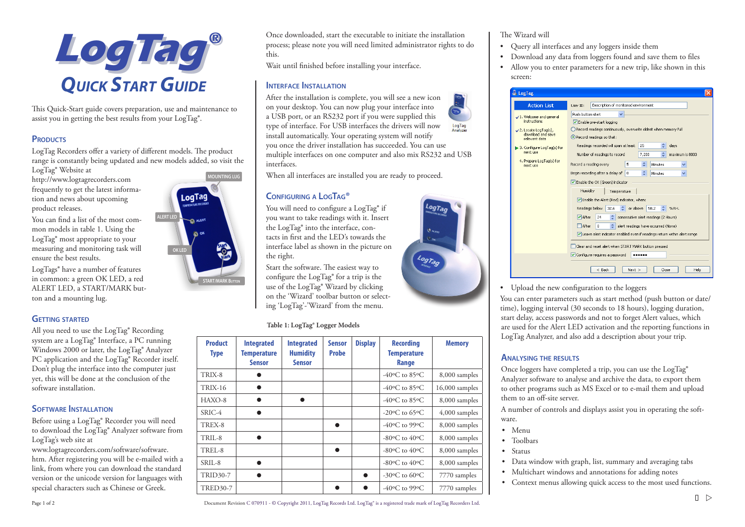

This Quick-Start guide covers preparation, use and maintenance to assist you in getting the best results from your LogTag®.

## **PRODUCTS**

LogTag Recorders offer a variety of different models. The product range is constantly being updated and new models added, so visit the

LogTag® Website at http://www.logtagrecorders.com frequently to get the latest information and news about upcoming product releases.

You can find a list of the most common models in table 1. Using the LogTag® most appropriate to your measuring and monitoring task will ensure the best results.

LogTags® have a number of features in common: a green OK LED, a red ALERT LED, a START/MARK button and a mounting lug.

### **Getting started**

All you need to use the LogTag® Recording system are a LogTag® Interface, a PC running Windows 2000 or later, the LogTag® Analyzer PC application and the LogTag® Recorder itself. Don't plug the interface into the computer just yet, this will be done at the conclusion of the software installation.

### **SOFTWARE INSTALLATION**

Before using a LogTag® Recorder you will need to download the LogTag® Analyzer software from LogTag's web site at

www.logtagrecorders.com/software/software. htm. After registering you will be e-mailed with a link, from where you can download the standard version or the unicode version for languages with special characters such as Chinese or Greek.

**MOUNTING LUG**LoqTag **ALERT LED**  $\sum_{k=1}^{\infty}$  ALER **OK LED START/MARK Button**

Once downloaded, start the executable to initiate the installation process; please note you will need limited administrator rights to do this.

Wait until finished before installing your interface.

### **Interface Installation**

After the installation is complete, you will see a new icon on your desktop. You can now plug your interface into a USB port, or an RS232 port if you were supplied this type of interface. For USB interfaces the drivers will now LogTag<br>Analyzer install automatically. Your operating system will notify you once the driver installation has succeeded. You can use multiple interfaces on one computer and also mix RS232 and USB interfaces.

When all interfaces are installed you are ready to proceed.

### **Configuring a LogTag®**

You will need to configure a LogTag® if you want to take readings with it. Insert the LogTag® into the interface, contacts in first and the LED's towards the interface label as shown in the picture on the right.

Start the software. The easiest way to configure the LogTag® for a trip is the use of the LogTag® Wizard by clicking on the 'Wizard' toolbar button or selecting 'LogTag'-'Wizard' from the menu.

 **Table 1: LogTag® Logger Models**

| <b>Product</b><br><b>Type</b> | <b>Integrated</b><br><b>Temperature</b><br><b>Sensor</b> | <b>Integrated</b><br><b>Humidity</b><br><b>Sensor</b> | <b>Sensor</b><br><b>Probe</b> | <b>Display</b> | <b>Recording</b><br><b>Temperature</b><br>Range | <b>Memory</b>    |
|-------------------------------|----------------------------------------------------------|-------------------------------------------------------|-------------------------------|----------------|-------------------------------------------------|------------------|
| TRIX-8                        |                                                          |                                                       |                               |                | -40 $\rm{^{\circ}C}$ to 85 $\rm{^{\circ}C}$     | 8,000 samples    |
| <b>TRIX-16</b>                |                                                          |                                                       |                               |                | -40 $\rm{^{\circ}C}$ to 85 $\rm{^{\circ}C}$     | $16,000$ samples |
| $HAXO-8$                      |                                                          |                                                       |                               |                | $-40$ <sup>o</sup> C to 85 <sup>o</sup> C       | 8,000 samples    |
| $SRIC-4$                      |                                                          |                                                       |                               |                | -20 $\rm{^{\circ}C}$ to 65 $\rm{^{\circ}C}$     | $4,000$ samples  |
| TREX-8                        |                                                          |                                                       |                               |                | -40 $\rm{^{\circ}C}$ to 99 $\rm{^{\circ}C}$     | 8,000 samples    |
| TRIL-8                        |                                                          |                                                       |                               |                | $-80$ <sup>o</sup> C to 40 <sup>o</sup> C       | 8,000 samples    |
| TREL-8                        |                                                          |                                                       |                               |                | -80 $\rm{^{\circ}C}$ to 40 $\rm{^{\circ}C}$     | 8,000 samples    |
| $SRII - 8$                    |                                                          |                                                       |                               |                | -80 $\rm{^{\circ}C}$ to 40 $\rm{^{\circ}C}$     | 8,000 samples    |
| <b>TRID30-7</b>               |                                                          |                                                       |                               | ▲              | $-30$ <sup>o</sup> C to 60 <sup>o</sup> C       | 7770 samples     |
| <b>TRED30-7</b>               |                                                          |                                                       |                               |                | -40 $\rm{^{\circ}C}$ to 99 $\rm{^{\circ}C}$     | 7770 samples     |

### The Wizard will

- Query all interfaces and any loggers inside them
- Download any data from loggers found and save them to files
- Allow you to enter parameters for a new trip, like shown in this screen:

| <b>Action List</b>                   | Description of monitored environment<br>User ID:                         |  |  |  |  |
|--------------------------------------|--------------------------------------------------------------------------|--|--|--|--|
| √1. Welcome and general              | Push button start                                                        |  |  |  |  |
| <b>instructions</b>                  | Enable pre-start logging                                                 |  |  |  |  |
| $\angle$ 2. Locate LogTag(s),        | Record readings continuously, overwrite oldest when memory full          |  |  |  |  |
| download and save.<br>relevant data  | Record readings so that:                                                 |  |  |  |  |
| 3. Configure LogTag(s) for           | ٥<br>Readings recorded will span at least<br>25<br>days                  |  |  |  |  |
| next use                             | ÷<br>Number of readings to record<br>7,200<br>maximum is 8003            |  |  |  |  |
| 4. Prepare LogTag(s) for<br>next use | ÷<br>Record a reading every<br>5<br>Minutes                              |  |  |  |  |
|                                      | ÷<br>Begin recording after a delay of<br>$^{\circ}$<br>Minutes           |  |  |  |  |
|                                      | Enable the OK (Green) indicator                                          |  |  |  |  |
|                                      | Humidity<br>Temperature                                                  |  |  |  |  |
|                                      | Enable the Alert (Red) indicator, when:                                  |  |  |  |  |
|                                      | ÷<br>Readings below<br>or above<br>58.2<br>%RH.<br>32.6                  |  |  |  |  |
|                                      | ÷<br>$\nabla$ After<br>24<br>consecutive alert readings (2 Hours)        |  |  |  |  |
|                                      | ۵l<br>$\Box$ After<br>alert readings have occurred (None)<br>$\Omega$    |  |  |  |  |
|                                      | Leave alert indicator enabled even if readings return within alert range |  |  |  |  |
|                                      |                                                                          |  |  |  |  |
|                                      | Clear and reset alert when START MARK button pressed                     |  |  |  |  |
|                                      | Configure requires a password<br>                                        |  |  |  |  |
|                                      |                                                                          |  |  |  |  |
|                                      | Close<br>Help<br>$<$ Back<br>$Next$ >                                    |  |  |  |  |

• Upload the new configuration to the loggers

You can enter parameters such as start method (push button or date/ time), logging interval (30 seconds to 18 hours), logging duration, start delay, access passwords and not to forget Alert values, which are used for the Alert LED activation and the reporting functions in LogTag Analyzer, and also add a description about your trip.

### **Analysing the results**

Once loggers have completed a trip, you can use the LogTag® Analyzer software to analyse and archive the data, to export them to other programs such as MS Excel or to e-mail them and upload them to an off-site server.

A number of controls and displays assist you in operating the software.

- Menu
- Toolbars
- Status
- Data window with graph, list, summary and averaging tabs
- Multichart windows and annotations for adding notes
- Context menus allowing quick access to the most used functions.